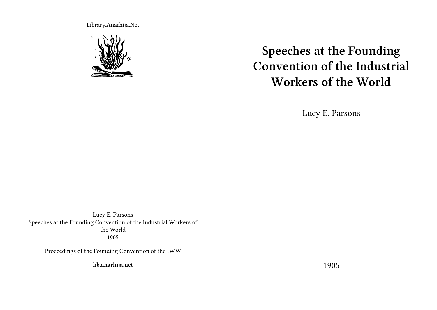Library.Anarhija.Net



## **Speeches at the Founding Convention of the Industrial Workers of the World**

Lucy E. Parsons

Lucy E. Parsons Speeches at the Founding Convention of the Industrial Workers of the World 1905

Proceedings of the Founding Convention of the IWW

**lib.anarhija.net**

1905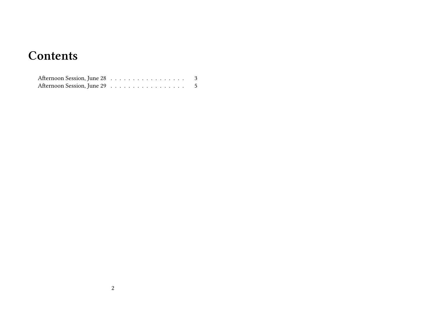## **Contents**

|                            |  |  |  |  |  |  |  |  |  | -3 |
|----------------------------|--|--|--|--|--|--|--|--|--|----|
| Afternoon Session, June 29 |  |  |  |  |  |  |  |  |  |    |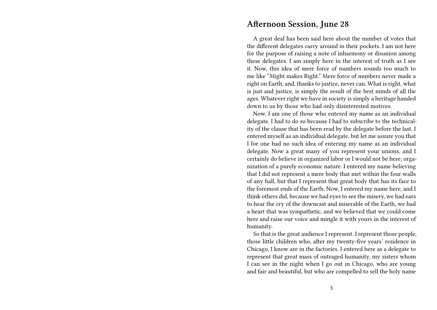## **Afternoon Session, June 28**

A great deal has been said here about the number of votes that the different delegates carry around in their pockets. I am not here for the purpose of raising a note of inharmony or disunion among these delegates. I am simply here in the interest of truth as I see it. Now, this idea of mere force of numbers sounds too much to me like "Might makes Right." Mere force of numbers never made a right on Earth, and, thanks to justice, never can. What is right, what is just and justice, is simply the result of the best minds of all the ages. Whatever right we have in society is simply a heritage handed down to us by those who had only disinterested motives.

Now, I am one of those who entered my name as an individual delegate. I had to do so because I had to subscribe to the technicality of the clause that has been read by the delegate before the last. I entered myself as an individual delegate, but let me assure you that I for one had no such idea of entering my name as an individual delegate. Now a great many of you represent your unions, and I certainly do believe in organized labor or I would not be here; organization of a purely economic nature. I entered my name believing that I did not represent a mere body that met within the four walls of any hall, but that I represent that great body that has its face to the foremost ends of the Earth. Now, I entered my name here, and I think others did, because we had eyes to see the misery, we had ears to hear the cry of the downcast and miserable of the Earth, we had a heart that was sympathetic, and we believed that we could come here and raise our voice and mingle it with yours in the interest of humanity.

So that is the great audience I represent. I represent those people, those little children who, after my twenty-five years' residence in Chicago, I know are in the factories. I entered here as a delegate to represent that great mass of outraged humanity, my sisters whom I can see in the night when I go out in Chicago, who are young and fair and beautiful, but who are compelled to sell the holy name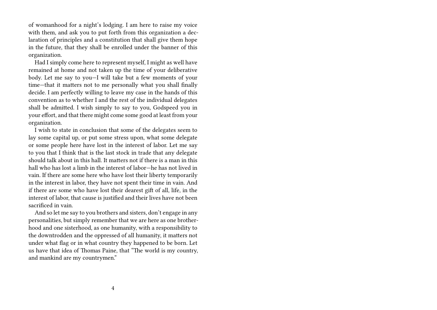of womanhood for a night's lodging. I am here to raise my voice with them, and ask you to put forth from this organization a declaration of principles and a constitution that shall give them hope in the future, that they shall be enrolled under the banner of this organization.

Had I simply come here to represent myself, I might as well have remained at home and not taken up the time of your deliberative body. Let me say to you—I will take but a few moments of your time—that it matters not to me personally what you shall finally decide. I am perfectly willing to leave my case in the hands of this convention as to whether I and the rest of the individual delegates shall be admitted. I wish simply to say to you, Godspeed you in your effort, and that there might come some good at least from your organization.

I wish to state in conclusion that some of the delegates seem to lay some capital up, or put some stress upon, what some delegate or some people here have lost in the interest of labor. Let me say to you that I think that is the last stock in trade that any delegate should talk about in this hall. It matters not if there is a man in this hall who has lost a limb in the interest of labor—he has not lived in vain. If there are some here who have lost their liberty temporarily in the interest in labor, they have not spent their time in vain. And if there are some who have lost their dearest gift of all, life, in the interest of labor, that cause is justified and their lives have not been sacrificed in vain.

And so let me say to you brothers and sisters, don't engage in any personalities, but simply remember that we are here as one brotherhood and one sisterhood, as one humanity, with a responsibility to the downtrodden and the oppressed of all humanity, it matters not under what flag or in what country they happened to be born. Let us have that idea of Thomas Paine, that "The world is my country, and mankind are my countrymen."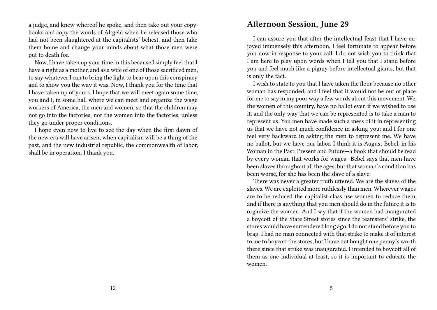a judge, and knew whereof he spoke, and then take out your copybooks and copy the words of Altgeld when he released those who had not been slaughtered at the capitalists' behest, and then take them home and change your minds about what those men were put to death for.

Now, I have taken up your time in this because I simply feel that I have a right as a mother, and as a wife of one of those sacrificed men, to say whatever I can to bring the light to bear upon this conspiracy and to show you the way it was. Now, I thank you for the time that I have taken up of yours. I hope that we will meet again some time, you and I, in some hall where we can meet and organize the wage workers of America, the men and women, so that the children may not go into the factories, nor the women into the factories, unless they go under proper conditions.

I hope even now to live to see the day when the first dawn of the new era will have arisen, when capitalism will be a thing of the past, and the new industrial republic, the commonwealth of labor, shall be in operation. I thank you.

## **Afternoon Session, June 29**

I can assure you that after the intellectual feast that I have enjoyed immensely this afternoon, I feel fortunate to appear before you now in response to your call. I do not wish you to think that I am here to play upon words when I tell you that I stand before you and feel much like a pigmy before intellectual giants, but that is only the fact.

I wish to state to you that I have taken the floor because no other woman has responded, and I feel that it would not be out of place for me to say in my poor way a few words about this movement. We, the women of this country, have no ballot even if we wished to use it, and the only way that we can be represented is to take a man to represent us. You men have made such a mess of it in representing us that we have not much confidence in asking you; and I for one feel very backward in asking the men to represent me. We have no ballot, but we have our labor. I think it is August Bebel, in his Woman in the Past, Present and Future—a book that should be read by every woman that works for wages—Bebel says that men have been slaves throughout all the ages, but that woman's condition has been worse, for she has been the slave of a slave.

There was never a greater truth uttered. We are the slaves of the slaves. We are exploited more ruthlessly than men. Wherever wages are to be reduced the capitalist class use women to reduce them, and if there is anything that you men should do in the future it is to organize the women. And I say that if the women had inaugurated a boycott of the State Street stores since the teamsters' strike, the stores would have surrendered long ago. I do not stand before you to brag. I had no man connected with that strike to make it of interest to me to boycott the stores, but I have not bought one penny's worth there since that strike was inaugurated. I intended to boycott all of them as one individual at least, so it is important to educate the women.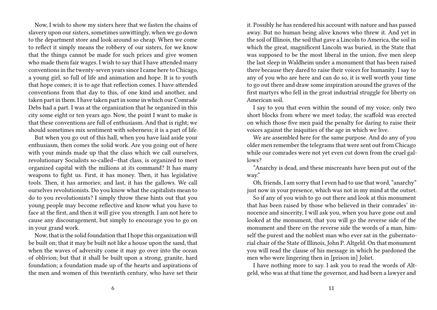Now, I wish to show my sisters here that we fasten the chains of slavery upon our sisters, sometimes unwittingly, when we go down to the department store and look around so cheap. When we come to reflect it simply means the robbery of our sisters, for we know that the things cannot be made for such prices and give women who made them fair wages. I wish to say that I have attended many conventions in the twenty-seven years since I came here to Chicago, a young girl, so full of life and animation and hope. It is to youth that hope comes; it is to age that reflection comes. I have attended conventions from that day to this, of one kind and another, and taken part in them. I have taken part in some in which our Comrade Debs had a part. I was at the organization that he organized in this city some eight or ten years ago. Now, the point I want to make is that these conventions are full of enthusiasm. And that is right; we should sometimes mix sentiment with soberness; it is a part of life.

But when you go out of this hall, when you have laid aside your enthusiasm, then comes the solid work. Are you going out of here with your minds made up that the class which we call ourselves, revolutionary Socialists so-called—that class, is organized to meet organized capital with the millions at its command? It has many weapons to fight us. First, it has money. Then, it has legislative tools. Then, it has armories; and last, it has the gallows. We call ourselves revolutionists. Do you know what the capitalists mean to do to you revolutionists? I simply throw these hints out that you young people may become reflective and know what you have to face at the first, and then it will give you strength. I am not here to cause any discouragement, but simply to encourage you to go on in your grand work.

Now, that is the solid foundation that I hope this organization will be built on; that it may be built not like a house upon the sand, that when the waves of adversity come it may go over into the ocean of oblivion; but that it shall be built upon a strong, granite, hard foundation; a foundation made up of the hearts and aspirations of the men and women of this twentieth century, who have set their it. Possibly he has rendered his account with nature and has passed away. But no human being alive knows who threw it. And yet in the soil of Illinois, the soil that gave a Lincoln to America, the soil in which the great, magnificent Lincoln was buried, in the State that was supposed to be the most liberal in the union, five men sleep the last sleep in Waldheim under a monument that has been raised there because they dared to raise their voices for humanity. I say to any of you who are here and can do so, it is well worth your time to go out there and draw some inspiration around the graves of the first martyrs who fell in the great industrial struggle for liberty on American soil.

I say to you that even within the sound of my voice, only two short blocks from where we meet today, the scaffold was erected on which those five men paid the penalty for daring to raise their voices against the iniquities of the age in which we live.

We are assembled here for the same purpose. And do any of you older men remember the telegrams that were sent out from Chicago while our comrades were not yet even cut down from the cruel gallows?

"Anarchy is dead, and these miscreants have been put out of the way."

Oh, friends, I am sorry that I even had to use that word, "anarchy" just now in your presence, which was not in my mind at the outset.

So if any of you wish to go out there and look at this monument that has been raised by those who believed in their comrades' innocence and sincerity, I will ask you, when you have gone out and looked at the monument, that you will go the reverse side of the monument and there on the reverse side the words of a man, himself the purest and the noblest man who ever sat in the gubernatorial chair of the State of Illinois, John P. Altgeld. On that monument you will read the clause of his message in which he pardoned the men who were lingering then in [prison in] Joliet.

I have nothing more to say. I ask you to read the words of Altgeld, who was at that time the governor, and had been a lawyer and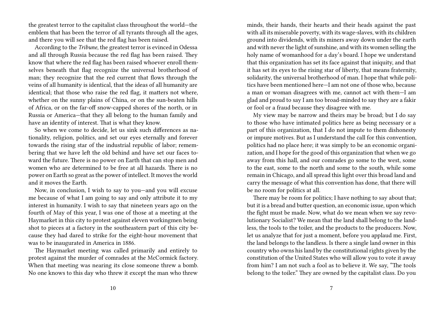the greatest terror to the capitalist class throughout the world—the emblem that has been the terror of all tyrants through all the ages, and there you will see that the red flag has been raised.

According to the *Tribune*, the greatest terror is evinced in Odessa and all through Russia because the red flag has been raised. They know that where the red flag has been raised whoever enroll themselves beneath that flag recognize the universal brotherhood of man; they recognize that the red current that flows through the veins of all humanity is identical, that the ideas of all humanity are identical; that those who raise the red flag, it matters not where, whether on the sunny plains of China, or on the sun-beaten hills of Africa, or on the far-off snow-capped shores of the north, or in Russia or America—that they all belong to the human family and have an identity of interest. That is what they know.

So when we come to decide, let us sink such differences as nationality, religion, politics, and set our eyes eternally and forever towards the rising star of the industrial republic of labor; remembering that we have left the old behind and have set our faces toward the future. There is no power on Earth that can stop men and women who are determined to be free at all hazards. There is no power on Earth so great as the power of intellect. It moves the world and it moves the Earth.

Now, in conclusion, I wish to say to you—and you will excuse me because of what I am going to say and only attribute it to my interest in humanity. I wish to say that nineteen years ago on the fourth of May of this year, I was one of those at a meeting at the Haymarket in this city to protest against eleven workingmen being shot to pieces at a factory in the southeastern part of this city because they had dared to strike for the eight-hour movement that was to be inaugurated in America in 1886.

The Haymarket meeting was called primarily and entirely to protest against the murder of comrades at the McCormick factory. When that meeting was nearing its close someone threw a bomb. No one knows to this day who threw it except the man who threw

minds, their hands, their hearts and their heads against the past with all its miserable poverty, with its wage-slaves, with its children ground into dividends, with its miners away down under the earth and with never the light of sunshine, and with its women selling the holy name of womanhood for a day's board. I hope we understand that this organization has set its face against that iniquity, and that it has set its eyes to the rising star of liberty, that means fraternity, solidarity, the universal brotherhood of man. I hope that while politics have been mentioned here—I am not one of those who, because a man or woman disagrees with me, cannot act with them—I am glad and proud to say I am too broad-minded to say they are a fakir or fool or a fraud because they disagree with me.

My view may be narrow and theirs may be broad; but I do say to those who have intimated politics here as being necessary or a part of this organization, that I do not impute to them dishonesty or impure motives. But as I understand the call for this convention, politics had no place here; it was simply to be an economic organization, and I hope for the good of this organization that when we go away from this hall, and our comrades go some to the west, some to the east, some to the north and some to the south, while some remain in Chicago, and all spread this light over this broad land and carry the message of what this convention has done, that there will be no room for politics at all.

There may be room for politics; I have nothing to say about that; but it is a bread and butter question, an economic issue, upon which the fight must be made. Now, what do we mean when we say revolutionary Socialist? We mean that the land shall belong to the landless, the tools to the toiler, and the products to the producers. Now, let us analyze that for just a moment, before you applaud me. First, the land belongs to the landless. Is there a single land owner in this country who owns his land by the constitutional rights given by the constitution of the United States who will allow you to vote it away from him? I am not such a fool as to believe it. We say, "The tools belong to the toiler." They are owned by the capitalist class. Do you